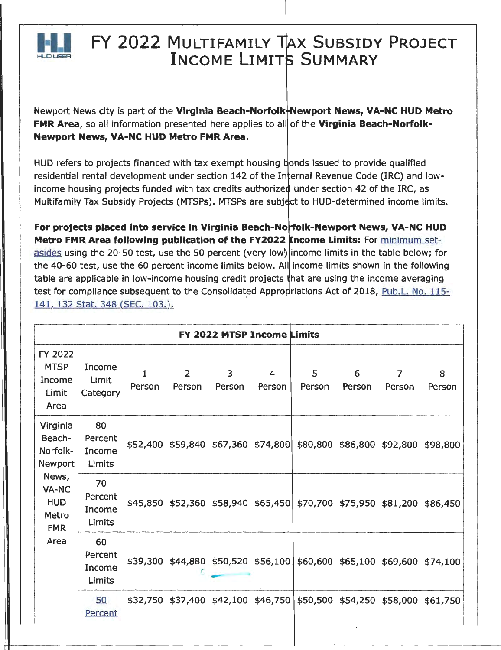

# **FY 2022 MULTIFAMILY TAX SUBSIDY PROJECT INCOME LIMITS SUMMARY**

Newport News city is part of the Virginia Beach-Norfolk-Newport News, VA-NC HUD Metro **FMR Area,** so all information presented here applies to all of the **Virginia Beach-Norfolk-Newport News, VA-NC HUD Metro FMR Area.** 

HUD refers to projects financed with tax exempt housing bonds issued to provide qualified residential rental development under section 142 of the Internal Revenue Code (IRC) and lowincome housing projects funded with tax credits authorized under section 42 of the IRC, as Multifamily Tax Subsidy Projects (MTSPs). MTSPs are subject to HUD-determined income limits.

**For projects placed into service in Virginia Beach-Norfolk-Newport News, VA-NC HUD Metro FMR Area following publication of the FY2022 Income Limits:** For minimum setasides using the 20-50 test, use the 50 percent (very low) income limits in the table below; for the 40-60 test, use the 60 percent income limits below. All income limits shown in the following table are applicable in low-income housing credit projects that are using the income averaging test for compliance subsequent to the Consolidated Appropriations Act of 2018, Pub.L. No. 115-141, 132 Stat. 348 (SEC. 103.).

| FY 2022 MTSP Income Limits                                  |                                   |             |                                         |             |             |                                                                         |             |                            |             |
|-------------------------------------------------------------|-----------------------------------|-------------|-----------------------------------------|-------------|-------------|-------------------------------------------------------------------------|-------------|----------------------------|-------------|
| <b>FY 2022</b><br><b>MTSP</b><br>Income<br>Limit<br>Area    | Income<br>Limit<br>Category       | 1<br>Person | $\overline{2}$<br>Person                | 3<br>Person | 4<br>Person | 5<br>Person                                                             | 6<br>Person | $\overline{7}$<br>Person   | 8<br>Person |
| Virginia<br>Beach-<br>Norfolk-<br>Newport                   | 80<br>Percent<br>Income<br>Limits |             | \$52,400 \$59,840 \$67,360 \$74,800     |             |             |                                                                         |             | \$80,800 \$86,800 \$92,800 | \$98,800    |
| News,<br>VA-NC<br><b>HUD</b><br>Metro<br><b>FMR</b><br>Area | 70<br>Percent<br>Income<br>Limits |             |                                         |             |             | \$45,850 \$52,360 \$58,940 \$65,450 \$70,700 \$75,950 \$81,200 \$86,450 |             |                            |             |
|                                                             | 60<br>Percent<br>Income<br>Limits |             |                                         |             |             | \$39,300 \$44,880 \$50,520 \$56,100 \$60,600 \$65,100 \$69,600 \$74,100 |             |                            |             |
|                                                             | 50<br>Percent                     |             | $$32,750$ $$37,400$ $$42,100$ $$46,750$ |             |             |                                                                         |             | \$50,500 \$54,250 \$58,000 | \$61,750    |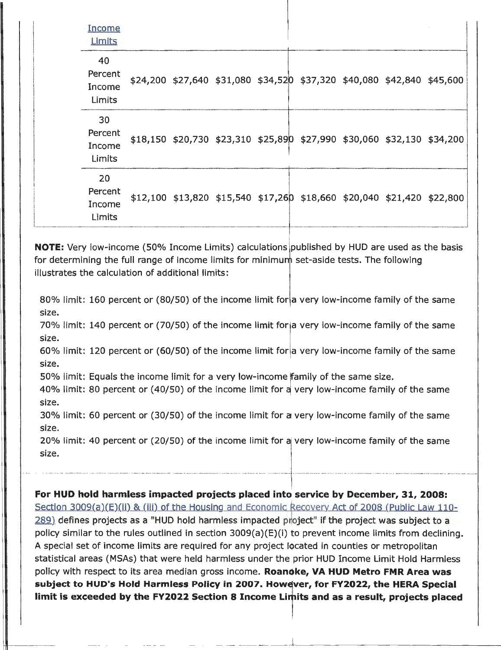| <b>Income</b><br>Limits           |  |  |                                                                         |  |  |
|-----------------------------------|--|--|-------------------------------------------------------------------------|--|--|
| 40<br>Percent<br>Income<br>Limits |  |  | \$24,200 \$27,640 \$31,080 \$34,520 \$37,320 \$40,080 \$42,840 \$45,600 |  |  |
| 30<br>Percent<br>Income<br>Limits |  |  | \$18,150 \$20,730 \$23,310 \$25,890 \$27,990 \$30,060 \$32,130 \$34,200 |  |  |
| 20<br>Percent<br>Income<br>Limits |  |  | \$12,100 \$13,820 \$15,540 \$17,260 \$18,660 \$20,040 \$21,420 \$22,800 |  |  |

**NOTE:** Very low-income (50% Income Limits) calculations published by HUD are used as the basis for determining the full range of income limits for minimum set-aside tests. The following illustrates the calculation of additional limits:

80% limit: 160 percent or (80/50) of the income limit for a very low-income family of the same size.

70% limit: 140 percent or (70/50) of the income limit for a very low-income family of the same size.

60% limit: 120 percent or (60/50) of the income limit for a very low-income family of the same size.

50% limit: Equals the income limit for a very low-income family of the same size.

40% limit: 80 percent or (40/50) of the income limit for a very low-income family of the same size.

30% limit: 60 percent or (30/50) of the income limit for a very low-income family of the same size.

20% limit: 40 percent or (20/50) of the income limit for a very low-income family of the same size.

**For HUD hold harmless impacted projects placed into service by December, 31, 2008:**  Section 3009(a)(E)(ii) & (iii) of the Housing and Economic Recovery Act of 2008 (Public Law 110-289) defines projects as a "HUD hold harmless impacted project" if the project was subject to a policy similar to the rules outlined in section 3009(a)(E)(i) to prevent income limits from declining. A special set of income limits are required for any project located in counties or metropolitan statistical areas (MSAs) that were held harmless under the prior HUD Income Limit Hold Harmless policy with respect to its area median gross income. **Roanoke, VA HUD Metro FMR Area was**  subject to HUD's Hold Harmless Policy in 2007. However, for FY2022, the HERA Special limit is exceeded by the FY2022 Section 8 Income Limits and as a result, projects placed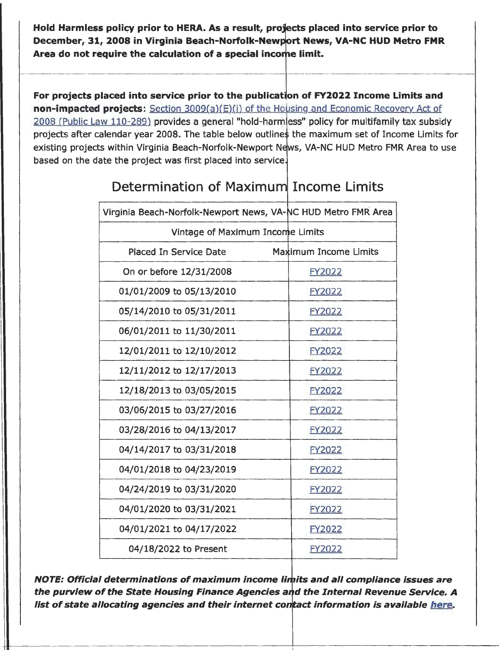Hold Harmless policy prior to HERA. As a result, projects placed into service prior to **December, 31, 2008 in Virginia Beach-Norfolk-Newport News, VA-NC HUD Metro FMR**  Area do not require the calculation of a special income limit.

**For projects placed into service prior to the publication of FY2022 Income Limits and non-impacted projects:** Section 3009(a)(E)(i) of the Housing and Economic Recovery Act of 2008 (Public Law 110-289) provides a general "hold-harm ess" policy for multifamily tax subsidy projects after calendar year 2008. The table below outlines the maximum set of Income Limits for existing projects within Virginia Beach-Norfolk-Newport News, VA-NC HUD Metro FMR Area to use based on the date the project was first placed into service.

| Virginia Beach-Norfolk-Newport News, VA-NC HUD Metro FMR Area |                       |  |  |  |  |
|---------------------------------------------------------------|-----------------------|--|--|--|--|
| Vintage of Maximum Income Limits                              |                       |  |  |  |  |
| Placed In Service Date                                        | Maximum Income Limits |  |  |  |  |
| On or before 12/31/2008                                       | FY2022                |  |  |  |  |
| 01/01/2009 to 05/13/2010                                      | FY2022                |  |  |  |  |
| 05/14/2010 to 05/31/2011                                      | FY2022                |  |  |  |  |
| 06/01/2011 to 11/30/2011                                      | FY2022                |  |  |  |  |
| 12/01/2011 to 12/10/2012                                      | FY2022                |  |  |  |  |
| 12/11/2012 to 12/17/2013                                      | FY2022                |  |  |  |  |
| 12/18/2013 to 03/05/2015                                      | FY2022                |  |  |  |  |
| 03/06/2015 to 03/27/2016                                      | FY2022                |  |  |  |  |
| 03/28/2016 to 04/13/2017                                      | FY2022                |  |  |  |  |
| 04/14/2017 to 03/31/2018                                      | FY2022                |  |  |  |  |
| 04/01/2018 to 04/23/2019                                      | FY2022                |  |  |  |  |
| 04/24/2019 to 03/31/2020                                      | FY2022                |  |  |  |  |
| 04/01/2020 to 03/31/2021                                      | FY2022                |  |  |  |  |
| 04/01/2021 to 04/17/2022                                      | FY2022                |  |  |  |  |
| 04/18/2022 to Present                                         | FY2022                |  |  |  |  |

# Determination of Maximum Income Limits

**NOTE: Official determinations of maximum income limits and all compliance issues are** the purview of the State Housing Finance Agencies and the Internal Revenue Service. A list of state allocating agencies and their internet contact information is available here.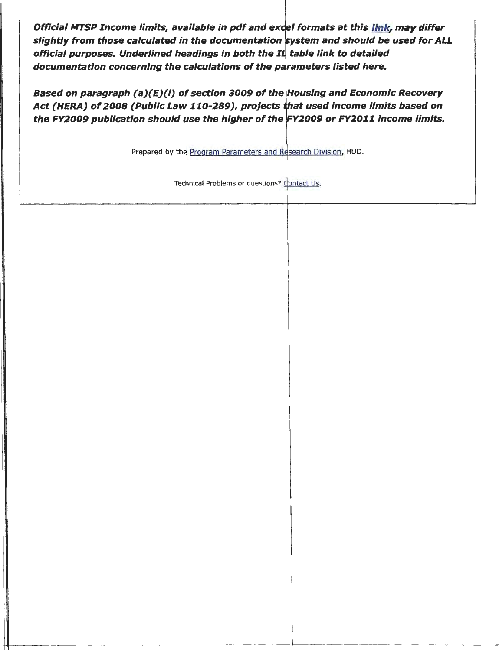Official MTSP Income limits, available in pdf and excel formats at this link, may differ slightly from those calculated in the documentation system and should be used for ALL official purposes. Underlined headings in both the  $I\mathfrak{L}$  table link to detailed documentation concerning the calculations of the parameters listed here.

Based on paragraph (a)(E)(i) of section 3009 of the Housing and Economic Recovery Act (HERA) of 2008 (Public Law 110-289), projects that used income limits based on the FY2009 publication should use the higher of the FY2009 or FY2011 income limits.

Prepared by the Program Parameters and Research Division, HUD.

Technical Problems or questions? Contact Us.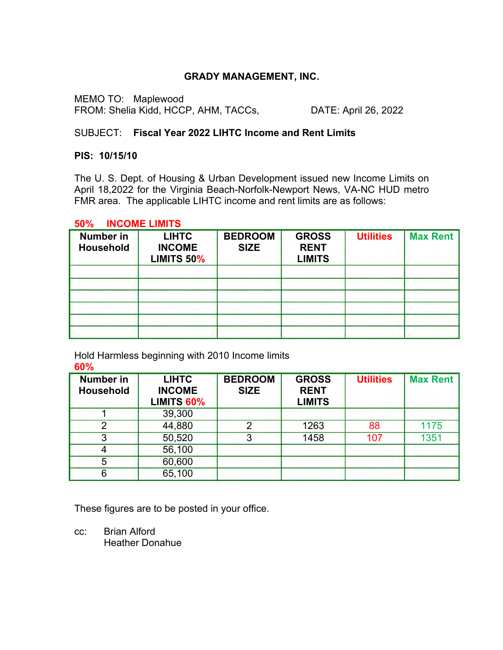# **GRADY MANAGEMENT, INC.**

MEMO TO: Maplewood FROM: Shelia Kidd, HCCP, AHM, TACCs, DATE: April 26, 2022

# SUBJECT: **Fiscal Year 2022 LIHTC Income and Rent Limits**

### **PIS: 10/15/10**

The U. S. Dept. of Housing & Urban Development issued new Income Limits on April 18,2022 for the Virginia Beach-Norfolk-Newport News, VA-NC HUD metro FMR area. The applicable LIHTC income and rent limits are as follows:

### **50% INCOME LIMITS**

| <b>LIHTC</b><br><b>INCOME</b><br><b>LIMITS 50%</b> | <b>BEDROOM</b><br><b>SIZE</b> | <b>GROSS</b><br><b>RENT</b><br><b>LIMITS</b> | <b>Utilities</b> | <b>Max Rent</b> |
|----------------------------------------------------|-------------------------------|----------------------------------------------|------------------|-----------------|
|                                                    |                               |                                              |                  |                 |
|                                                    |                               |                                              |                  |                 |
|                                                    |                               |                                              |                  |                 |

Hold Harmless beginning with 2010 Income limits **60%**

| <b>Number in</b><br><b>Household</b> | <b>LIHTC</b><br><b>INCOME</b><br>LIMITS 60% | <b>BEDROOM</b><br><b>SIZE</b> | <b>GROSS</b><br><b>RENT</b><br><b>LIMITS</b> | <b>Utilities</b> | <b>Max Rent</b> |
|--------------------------------------|---------------------------------------------|-------------------------------|----------------------------------------------|------------------|-----------------|
|                                      | 39,300                                      |                               |                                              |                  |                 |
| ◠                                    | 44,880                                      | າ                             | 1263                                         | 88               | 1175            |
| 3                                    | 50,520                                      | 3                             | 1458                                         | 107              | 1351            |
|                                      | 56,100                                      |                               |                                              |                  |                 |
| 5                                    | 60,600                                      |                               |                                              |                  |                 |
| 6                                    | 65,100                                      |                               |                                              |                  |                 |

These figures are to be posted in your office.

cc: Brian Alford Heather Donahue